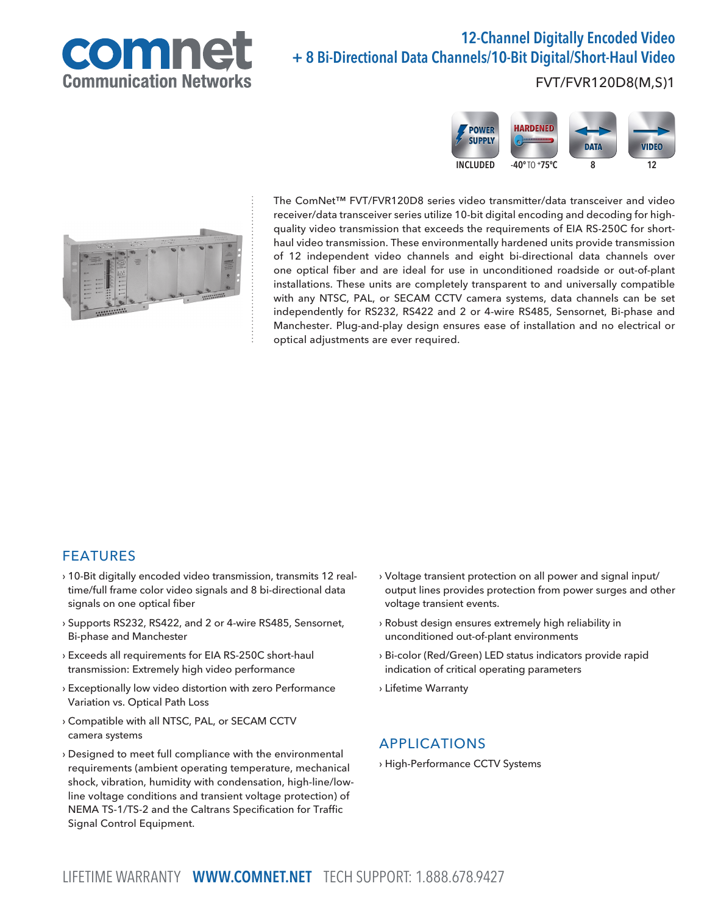

# 12-Channel Digitally Encoded Video + 8 Bi-Directional Data Channels/10-Bit Digital/Short-Haul Video

FVT/FVR120D8(M,S)1





The ComNet™ FVT/FVR120D8 series video transmitter/data transceiver and video receiver/data transceiver series utilize 10-bit digital encoding and decoding for highquality video transmission that exceeds the requirements of EIA RS-250C for shorthaul video transmission. These environmentally hardened units provide transmission of 12 independent video channels and eight bi-directional data channels over one optical fiber and are ideal for use in unconditioned roadside or out-of-plant installations. These units are completely transparent to and universally compatible with any NTSC, PAL, or SECAM CCTV camera systems, data channels can be set independently for RS232, RS422 and 2 or 4-wire RS485, Sensornet, Bi-phase and Manchester. Plug-and-play design ensures ease of installation and no electrical or optical adjustments are ever required.

### FEATURES

- › 10-Bit digitally encoded video transmission, transmits 12 realtime/full frame color video signals and 8 bi-directional data signals on one optical fiber
- › Supports RS232, RS422, and 2 or 4-wire RS485, Sensornet, Bi-phase and Manchester
- › Exceeds all requirements for EIA RS-250C short-haul transmission: Extremely high video performance
- › Exceptionally low video distortion with zero Performance Variation vs. Optical Path Loss
- › Compatible with all NTSC, PAL, or SECAM CCTV camera systems
- › Designed to meet full compliance with the environmental requirements (ambient operating temperature, mechanical shock, vibration, humidity with condensation, high-line/lowline voltage conditions and transient voltage protection) of NEMA TS-1/TS-2 and the Caltrans Specification for Traffic Signal Control Equipment.
- › Voltage transient protection on all power and signal input/ output lines provides protection from power surges and other voltage transient events.
- › Robust design ensures extremely high reliability in unconditioned out-of-plant environments
- › Bi-color (Red/Green) LED status indicators provide rapid indication of critical operating parameters
- › Lifetime Warranty

#### APPLICATIONS

› High-Performance CCTV Systems